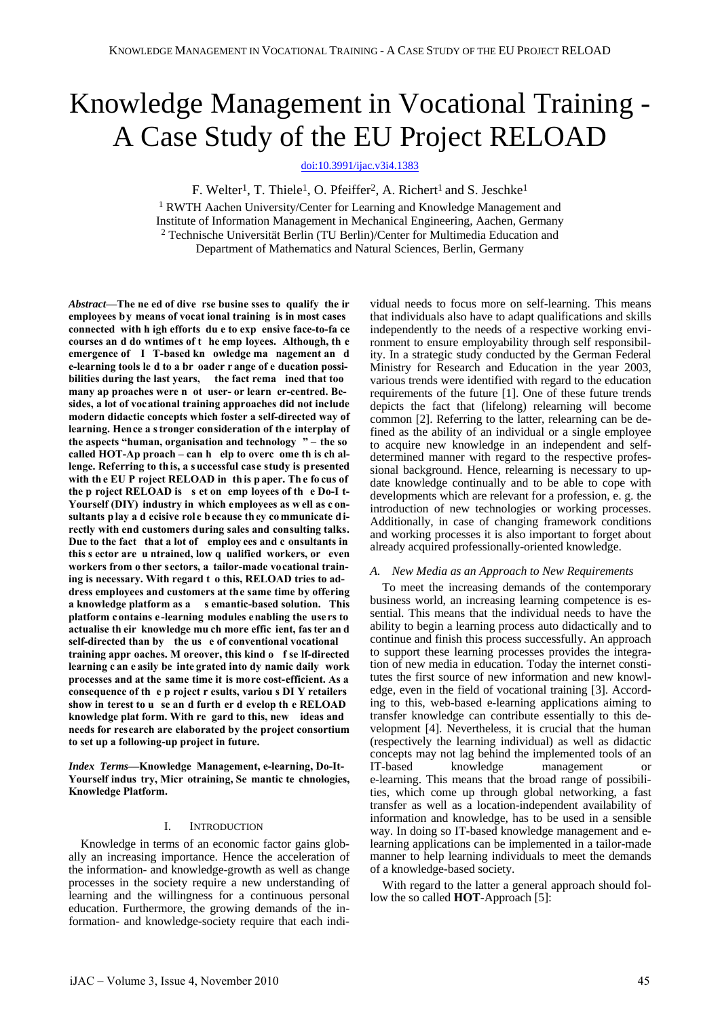# Knowledge Management in Vocational Training - A Case Study of the EU Project RELOAD

[doi:10.3991/ijac.v3i4.1383](http://dx.doi.org/10.3991/ijac.v3i4.1383)

F. Welter<sup>1</sup>, T. Thiele<sup>1</sup>, O. Pfeiffer<sup>2</sup>, A. Richert<sup>1</sup> and S. Jeschke<sup>1</sup>

1 RWTH Aachen University/Center for Learning and Knowledge Management and Institute of Information Management in Mechanical Engineering, Aachen, Germany 2 Technische Universität Berlin (TU Berlin)/Center for Multimedia Education and Department of Mathematics and Natural Sciences, Berlin, Germany

*Abstract***—The ne ed of dive rse busine sses to qualify the ir employees by means of vocat ional training is in most cases connected with h igh efforts du e to exp ensive face-to-fa ce courses an d do wntimes of t he emp loyees. Although, th e emergence of I T-based kn owledge ma nagement an d e-learning tools le d to a br oader r ange of e ducation possibilities during the last years, the fact rema ined that too many ap proaches were n ot user- or learn er-centred. Besides, a lot of vocational training approaches did not include modern didactic concepts which foster a self-directed way of learning. Hence a s tronger consideration of th e interplay of the aspects "human, organisation and technology " – the so called HOT-Ap proach – can h elp to overc ome th is ch allenge. Referring to th is, a s uccessful case study is presented with th e EU P roject RELOAD in th is p aper. Th e fo cus of the p roject RELOAD is s et on emp loyees of th e Do-I t-Yourself (DIY) industry in which employees as w ell as c onsultants p lay a d ecisive rol e b ecause th ey co mmunicate d irectly with end customers during sales and consulting talks. Due to the fact that a lot of employ ees and c onsultants in this s ector are u ntrained, low q ualified workers, or even workers from o ther sectors, a tailor-made vocational training is necessary. With regard t o this, RELOAD tries to address employees and customers at the same time by offering a knowledge platform as a s emantic-based solution. This platform contains e-learning modules enabling the users to actualise th eir knowledge mu ch more effic ient, fas ter an d self-directed than by the us e of conventional vocational training appr oaches. M oreover, this kind o f se lf-directed learning c an e asily be inte grated into dy namic daily work processes and at the same time it is more cost-efficient. As a consequence of th e p roject r esults, variou s DI Y retailers show in terest to u se an d furth er d evelop th e RELOAD knowledge plat form. With re gard to this, new ideas and needs for research are elaborated by the project consortium to set up a following-up project in future.** 

*Index Terms***—Knowledge Management, e-learning, Do-It-Yourself indus try, Micr otraining, Se mantic te chnologies, Knowledge Platform.** 

# I. INTRODUCTION

Knowledge in terms of an economic factor gains globally an increasing importance. Hence the acceleration of the information- and knowledge-growth as well as change processes in the society require a new understanding of learning and the willingness for a continuous personal education. Furthermore, the growing demands of the information- and knowledge-society require that each indi-

vidual needs to focus more on self-learning. This means that individuals also have to adapt qualifications and skills independently to the needs of a respective working environment to ensure employability through self responsibility. In a strategic study conducted by the German Federal Ministry for Research and Education in the year 2003, various trends were identified with regard to the education requirements of the future [1]. One of these future trends depicts the fact that (lifelong) relearning will become common [2]. Referring to the latter, relearning can be defined as the ability of an individual or a single employee to acquire new knowledge in an independent and selfdetermined manner with regard to the respective professional background. Hence, relearning is necessary to update knowledge continually and to be able to cope with developments which are relevant for a profession, e. g. the introduction of new technologies or working processes. Additionally, in case of changing framework conditions and working processes it is also important to forget about already acquired professionally-oriented knowledge.

## *A. New Media as an Approach to New Requirements*

To meet the increasing demands of the contemporary business world, an increasing learning competence is essential. This means that the individual needs to have the ability to begin a learning process auto didactically and to continue and finish this process successfully. An approach to support these learning processes provides the integration of new media in education. Today the internet constitutes the first source of new information and new knowledge, even in the field of vocational training [3]. According to this, web-based e-learning applications aiming to transfer knowledge can contribute essentially to this development [4]. Nevertheless, it is crucial that the human (respectively the learning individual) as well as didactic concepts may not lag behind the implemented tools of an IT-based knowledge management or e-learning. This means that the broad range of possibilities, which come up through global networking, a fast transfer as well as a location-independent availability of information and knowledge, has to be used in a sensible way. In doing so IT-based knowledge management and elearning applications can be implemented in a tailor-made manner to help learning individuals to meet the demands of a knowledge-based society.

With regard to the latter a general approach should follow the so called **HOT**-Approach [5]: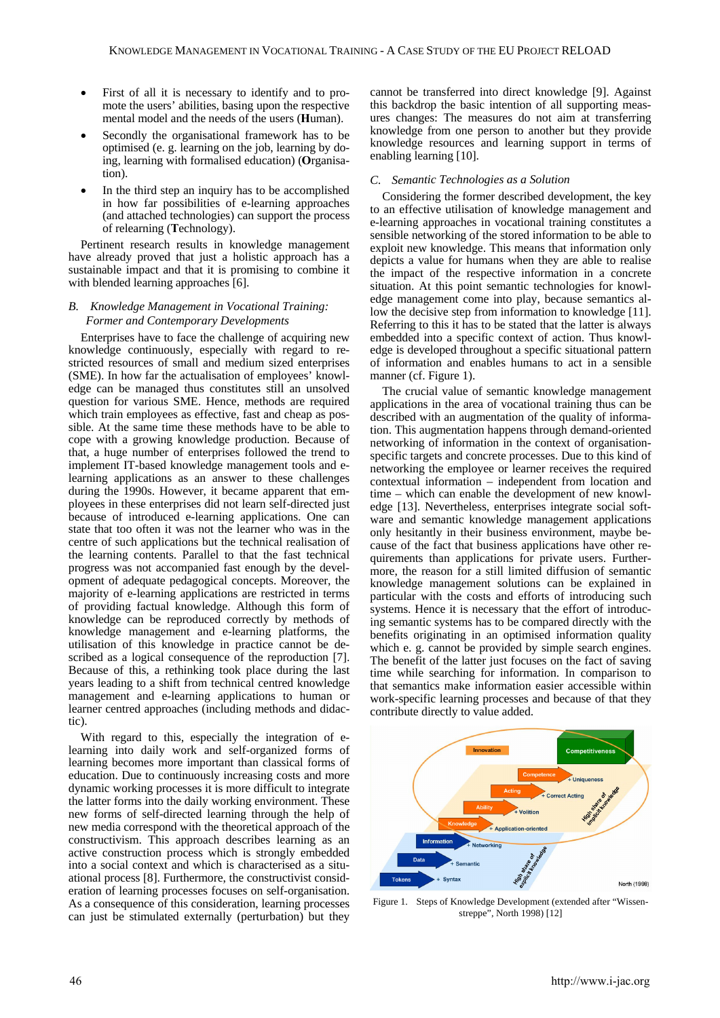- First of all it is necessary to identify and to promote the users' abilities, basing upon the respective mental model and the needs of the users (**H**uman).
- Secondly the organisational framework has to be optimised (e. g. learning on the job, learning by doing, learning with formalised education) (**O**rganisation).
- In the third step an inquiry has to be accomplished in how far possibilities of e-learning approaches (and attached technologies) can support the process of relearning (**T**echnology).

Pertinent research results in knowledge management have already proved that just a holistic approach has a sustainable impact and that it is promising to combine it with blended learning approaches [6].

# *B. Knowledge Management in Vocational Training: Former and Contemporary Developments*

Enterprises have to face the challenge of acquiring new knowledge continuously, especially with regard to restricted resources of small and medium sized enterprises (SME). In how far the actualisation of employees' knowledge can be managed thus constitutes still an unsolved question for various SME. Hence, methods are required which train employees as effective, fast and cheap as possible. At the same time these methods have to be able to cope with a growing knowledge production. Because of that, a huge number of enterprises followed the trend to implement IT-based knowledge management tools and elearning applications as an answer to these challenges during the 1990s. However, it became apparent that employees in these enterprises did not learn self-directed just because of introduced e-learning applications. One can state that too often it was not the learner who was in the centre of such applications but the technical realisation of the learning contents. Parallel to that the fast technical progress was not accompanied fast enough by the development of adequate pedagogical concepts. Moreover, the majority of e-learning applications are restricted in terms of providing factual knowledge. Although this form of knowledge can be reproduced correctly by methods of knowledge management and e-learning platforms, the utilisation of this knowledge in practice cannot be described as a logical consequence of the reproduction [7]. Because of this, a rethinking took place during the last years leading to a shift from technical centred knowledge management and e-learning applications to human or learner centred approaches (including methods and didactic).

With regard to this, especially the integration of elearning into daily work and self-organized forms of learning becomes more important than classical forms of education. Due to continuously increasing costs and more dynamic working processes it is more difficult to integrate the latter forms into the daily working environment. These new forms of self-directed learning through the help of new media correspond with the theoretical approach of the constructivism. This approach describes learning as an active construction process which is strongly embedded into a social context and which is characterised as a situational process [8]. Furthermore, the constructivist consideration of learning processes focuses on self-organisation. As a consequence of this consideration, learning processes can just be stimulated externally (perturbation) but they

cannot be transferred into direct knowledge [9]. Against this backdrop the basic intention of all supporting measures changes: The measures do not aim at transferring knowledge from one person to another but they provide knowledge resources and learning support in terms of enabling learning [10].

# *C. Semantic Technologies as a Solution*

Considering the former described development, the key to an effective utilisation of knowledge management and e-learning approaches in vocational training constitutes a sensible networking of the stored information to be able to exploit new knowledge. This means that information only depicts a value for humans when they are able to realise the impact of the respective information in a concrete situation. At this point semantic technologies for knowledge management come into play, because semantics allow the decisive step from information to knowledge [11]. Referring to this it has to be stated that the latter is always embedded into a specific context of action. Thus knowledge is developed throughout a specific situational pattern of information and enables humans to act in a sensible manner (cf. Figure 1).

The crucial value of semantic knowledge management applications in the area of vocational training thus can be described with an augmentation of the quality of information. This augmentation happens through demand-oriented networking of information in the context of organisationspecific targets and concrete processes. Due to this kind of networking the employee or learner receives the required contextual information – independent from location and time – which can enable the development of new knowledge [13]. Nevertheless, enterprises integrate social software and semantic knowledge management applications only hesitantly in their business environment, maybe because of the fact that business applications have other requirements than applications for private users. Furthermore, the reason for a still limited diffusion of semantic knowledge management solutions can be explained in particular with the costs and efforts of introducing such systems. Hence it is necessary that the effort of introducing semantic systems has to be compared directly with the benefits originating in an optimised information quality which e. g. cannot be provided by simple search engines. The benefit of the latter just focuses on the fact of saving time while searching for information. In comparison to that semantics make information easier accessible within work-specific learning processes and because of that they contribute directly to value added.



Figure 1. Steps of Knowledge Development (extended after "Wissenstreppe", North 1998) [12]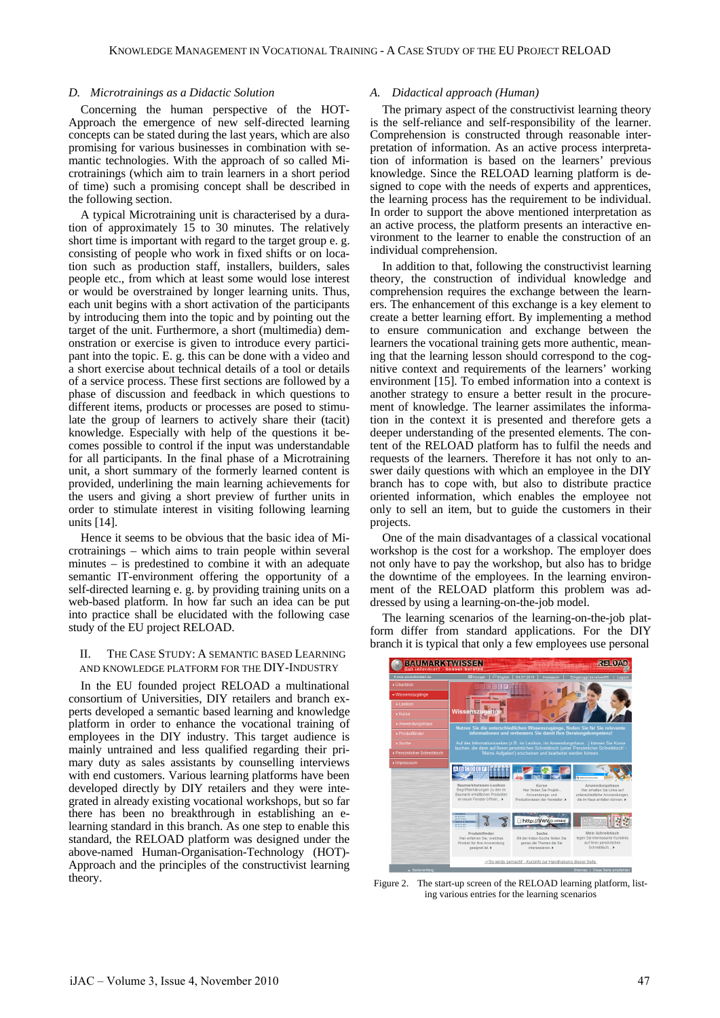## *D. Microtrainings as a Didactic Solution*

Concerning the human perspective of the HOT-Approach the emergence of new self-directed learning concepts can be stated during the last years, which are also promising for various businesses in combination with semantic technologies. With the approach of so called Microtrainings (which aim to train learners in a short period of time) such a promising concept shall be described in the following section.

A typical Microtraining unit is characterised by a duration of approximately 15 to 30 minutes. The relatively short time is important with regard to the target group e. g. consisting of people who work in fixed shifts or on location such as production staff, installers, builders, sales people etc., from which at least some would lose interest or would be overstrained by longer learning units. Thus, each unit begins with a short activation of the participants by introducing them into the topic and by pointing out the target of the unit. Furthermore, a short (multimedia) demonstration or exercise is given to introduce every participant into the topic. E. g. this can be done with a video and a short exercise about technical details of a tool or details of a service process. These first sections are followed by a phase of discussion and feedback in which questions to different items, products or processes are posed to stimulate the group of learners to actively share their (tacit) knowledge. Especially with help of the questions it becomes possible to control if the input was understandable for all participants. In the final phase of a Microtraining unit, a short summary of the formerly learned content is provided, underlining the main learning achievements for the users and giving a short preview of further units in order to stimulate interest in visiting following learning units [14].

Hence it seems to be obvious that the basic idea of Microtrainings – which aims to train people within several minutes – is predestined to combine it with an adequate semantic IT-environment offering the opportunity of a self-directed learning e. g. by providing training units on a web-based platform. In how far such an idea can be put into practice shall be elucidated with the following case study of the EU project RELOAD.

# II. THE CASE STUDY: A SEMANTIC BASED LEARNING AND KNOWLEDGE PLATFORM FOR THE DIY-INDUSTRY

In the EU founded project RELOAD a multinational consortium of Universities, DIY retailers and branch experts developed a semantic based learning and knowledge platform in order to enhance the vocational training of employees in the DIY industry. This target audience is mainly untrained and less qualified regarding their primary duty as sales assistants by counselling interviews with end customers. Various learning platforms have been developed directly by DIY retailers and they were integrated in already existing vocational workshops, but so far there has been no breakthrough in establishing an elearning standard in this branch. As one step to enable this standard, the RELOAD platform was designed under the above-named Human-Organisation-Technology (HOT)- Approach and the principles of the constructivist learning theory.

## *A. Didactical approach (Human)*

The primary aspect of the constructivist learning theory is the self-reliance and self-responsibility of the learner. Comprehension is constructed through reasonable interpretation of information. As an active process interpretation of information is based on the learners' previous knowledge. Since the RELOAD learning platform is designed to cope with the needs of experts and apprentices, the learning process has the requirement to be individual. In order to support the above mentioned interpretation as an active process, the platform presents an interactive environment to the learner to enable the construction of an individual comprehension.

In addition to that, following the constructivist learning theory, the construction of individual knowledge and comprehension requires the exchange between the learners. The enhancement of this exchange is a key element to create a better learning effort. By implementing a method to ensure communication and exchange between the learners the vocational training gets more authentic, meaning that the learning lesson should correspond to the cognitive context and requirements of the learners' working environment [15]. To embed information into a context is another strategy to ensure a better result in the procurement of knowledge. The learner assimilates the information in the context it is presented and therefore gets a deeper understanding of the presented elements. The content of the RELOAD platform has to fulfil the needs and requests of the learners. Therefore it has not only to answer daily questions with which an employee in the DIY branch has to cope with, but also to distribute practice oriented information, which enables the employee not only to sell an item, but to guide the customers in their projects.

One of the main disadvantages of a classical vocational workshop is the cost for a workshop. The employer does not only have to pay the workshop, but also has to bridge the downtime of the employees. In the learning environment of the RELOAD platform this problem was addressed by using a learning-on-the-job model.

The learning scenarios of the learning-on-the-job platform differ from standard applications. For the DIY branch it is typical that only a few employees use personal



Figure 2. The start-up screen of the RELOAD learning platform, listing various entries for the learning scenarios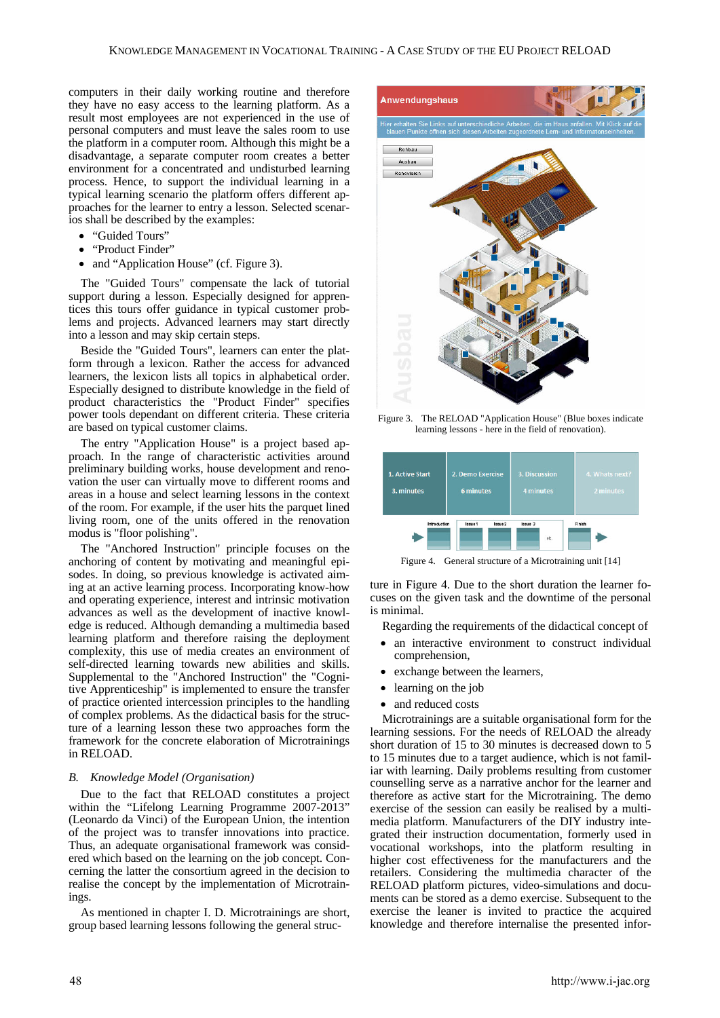computers in their daily working routine and therefore they have no easy access to the learning platform. As a result most employees are not experienced in the use of personal computers and must leave the sales room to use the platform in a computer room. Although this might be a disadvantage, a separate computer room creates a better environment for a concentrated and undisturbed learning process. Hence, to support the individual learning in a typical learning scenario the platform offers different approaches for the learner to entry a lesson. Selected scenarios shall be described by the examples:

- "Guided Tours"
- "Product Finder"
- and "Application House" (cf. Figure 3).

The "Guided Tours" compensate the lack of tutorial support during a lesson. Especially designed for apprentices this tours offer guidance in typical customer problems and projects. Advanced learners may start directly into a lesson and may skip certain steps.

Beside the "Guided Tours", learners can enter the platform through a lexicon. Rather the access for advanced learners, the lexicon lists all topics in alphabetical order. Especially designed to distribute knowledge in the field of product characteristics the "Product Finder" specifies power tools dependant on different criteria. These criteria are based on typical customer claims.

The entry "Application House" is a project based approach. In the range of characteristic activities around preliminary building works, house development and renovation the user can virtually move to different rooms and areas in a house and select learning lessons in the context of the room. For example, if the user hits the parquet lined living room, one of the units offered in the renovation modus is "floor polishing".

The "Anchored Instruction" principle focuses on the anchoring of content by motivating and meaningful episodes. In doing, so previous knowledge is activated aiming at an active learning process. Incorporating know-how and operating experience, interest and intrinsic motivation advances as well as the development of inactive knowledge is reduced. Although demanding a multimedia based learning platform and therefore raising the deployment complexity, this use of media creates an environment of self-directed learning towards new abilities and skills. Supplemental to the "Anchored Instruction" the "Cognitive Apprenticeship" is implemented to ensure the transfer of practice oriented intercession principles to the handling of complex problems. As the didactical basis for the structure of a learning lesson these two approaches form the framework for the concrete elaboration of Microtrainings in RELOAD.

## *B. Knowledge Model (Organisation)*

Due to the fact that RELOAD constitutes a project within the "Lifelong Learning Programme 2007-2013" (Leonardo da Vinci) of the European Union, the intention of the project was to transfer innovations into practice. Thus, an adequate organisational framework was considered which based on the learning on the job concept. Concerning the latter the consortium agreed in the decision to realise the concept by the implementation of Microtrainings.

As mentioned in chapter I. D. Microtrainings are short, group based learning lessons following the general struc-



Figure 3. The RELOAD "Application House" (Blue boxes indicate learning lessons - here in the field of renovation).



Figure 4. General structure of a Microtraining unit [14]

ture in Figure 4. Due to the short duration the learner focuses on the given task and the downtime of the personal is minimal.

Regarding the requirements of the didactical concept of

- an interactive environment to construct individual comprehension,
- exchange between the learners,
- learning on the job
- and reduced costs

Microtrainings are a suitable organisational form for the learning sessions. For the needs of RELOAD the already short duration of 15 to 30 minutes is decreased down to 5 to 15 minutes due to a target audience, which is not familiar with learning. Daily problems resulting from customer counselling serve as a narrative anchor for the learner and therefore as active start for the Microtraining. The demo exercise of the session can easily be realised by a multimedia platform. Manufacturers of the DIY industry integrated their instruction documentation, formerly used in vocational workshops, into the platform resulting in higher cost effectiveness for the manufacturers and the retailers. Considering the multimedia character of the RELOAD platform pictures, video-simulations and documents can be stored as a demo exercise. Subsequent to the exercise the leaner is invited to practice the acquired knowledge and therefore internalise the presented infor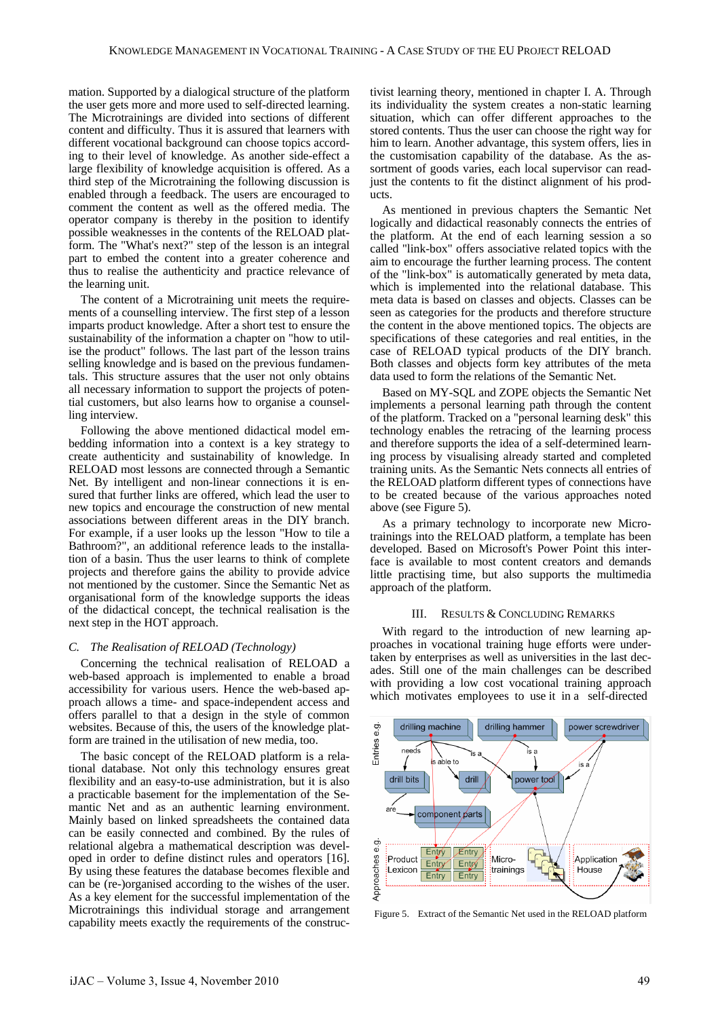mation. Supported by a dialogical structure of the platform the user gets more and more used to self-directed learning. The Microtrainings are divided into sections of different content and difficulty. Thus it is assured that learners with different vocational background can choose topics according to their level of knowledge. As another side-effect a large flexibility of knowledge acquisition is offered. As a third step of the Microtraining the following discussion is enabled through a feedback. The users are encouraged to comment the content as well as the offered media. The operator company is thereby in the position to identify possible weaknesses in the contents of the RELOAD platform. The "What's next?" step of the lesson is an integral part to embed the content into a greater coherence and thus to realise the authenticity and practice relevance of the learning unit.

The content of a Microtraining unit meets the requirements of a counselling interview. The first step of a lesson imparts product knowledge. After a short test to ensure the sustainability of the information a chapter on "how to utilise the product" follows. The last part of the lesson trains selling knowledge and is based on the previous fundamentals. This structure assures that the user not only obtains all necessary information to support the projects of potential customers, but also learns how to organise a counselling interview.

Following the above mentioned didactical model embedding information into a context is a key strategy to create authenticity and sustainability of knowledge. In RELOAD most lessons are connected through a Semantic Net. By intelligent and non-linear connections it is ensured that further links are offered, which lead the user to new topics and encourage the construction of new mental associations between different areas in the DIY branch. For example, if a user looks up the lesson "How to tile a Bathroom?", an additional reference leads to the installation of a basin. Thus the user learns to think of complete projects and therefore gains the ability to provide advice not mentioned by the customer. Since the Semantic Net as organisational form of the knowledge supports the ideas of the didactical concept, the technical realisation is the next step in the HOT approach.

#### *C. The Realisation of RELOAD (Technology)*

Concerning the technical realisation of RELOAD a web-based approach is implemented to enable a broad accessibility for various users. Hence the web-based approach allows a time- and space-independent access and offers parallel to that a design in the style of common websites. Because of this, the users of the knowledge platform are trained in the utilisation of new media, too.

The basic concept of the RELOAD platform is a relational database. Not only this technology ensures great flexibility and an easy-to-use administration, but it is also a practicable basement for the implementation of the Semantic Net and as an authentic learning environment. Mainly based on linked spreadsheets the contained data can be easily connected and combined. By the rules of relational algebra a mathematical description was developed in order to define distinct rules and operators [16]. By using these features the database becomes flexible and can be (re-)organised according to the wishes of the user. As a key element for the successful implementation of the Microtrainings this individual storage and arrangement capability meets exactly the requirements of the constructivist learning theory, mentioned in chapter I. A. Through its individuality the system creates a non-static learning situation, which can offer different approaches to the stored contents. Thus the user can choose the right way for him to learn. Another advantage, this system offers, lies in the customisation capability of the database. As the assortment of goods varies, each local supervisor can readjust the contents to fit the distinct alignment of his products.

As mentioned in previous chapters the Semantic Net logically and didactical reasonably connects the entries of the platform. At the end of each learning session a so called "link-box" offers associative related topics with the aim to encourage the further learning process. The content of the "link-box" is automatically generated by meta data, which is implemented into the relational database. This meta data is based on classes and objects. Classes can be seen as categories for the products and therefore structure the content in the above mentioned topics. The objects are specifications of these categories and real entities, in the case of RELOAD typical products of the DIY branch. Both classes and objects form key attributes of the meta data used to form the relations of the Semantic Net.

Based on MY-SQL and ZOPE objects the Semantic Net implements a personal learning path through the content of the platform. Tracked on a "personal learning desk" this technology enables the retracing of the learning process and therefore supports the idea of a self-determined learning process by visualising already started and completed training units. As the Semantic Nets connects all entries of the RELOAD platform different types of connections have to be created because of the various approaches noted above (see Figure 5).

As a primary technology to incorporate new Microtrainings into the RELOAD platform, a template has been developed. Based on Microsoft's Power Point this interface is available to most content creators and demands little practising time, but also supports the multimedia approach of the platform.

## III. RESULTS & CONCLUDING REMARKS

With regard to the introduction of new learning approaches in vocational training huge efforts were undertaken by enterprises as well as universities in the last decades. Still one of the main challenges can be described with providing a low cost vocational training approach which motivates employees to use it in a self-directed



Figure 5. Extract of the Semantic Net used in the RELOAD platform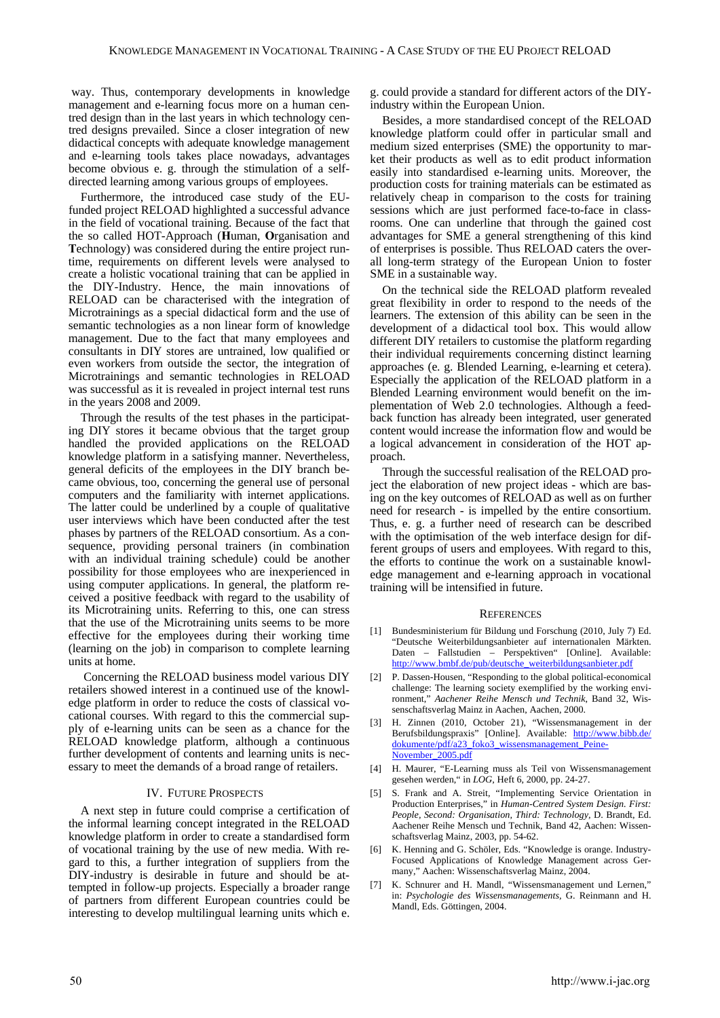way. Thus, contemporary developments in knowledge management and e-learning focus more on a human centred design than in the last years in which technology centred designs prevailed. Since a closer integration of new didactical concepts with adequate knowledge management and e-learning tools takes place nowadays, advantages become obvious e. g. through the stimulation of a selfdirected learning among various groups of employees.

Furthermore, the introduced case study of the EUfunded project RELOAD highlighted a successful advance in the field of vocational training. Because of the fact that the so called HOT-Approach (**H**uman, **O**rganisation and **T**echnology) was considered during the entire project runtime, requirements on different levels were analysed to create a holistic vocational training that can be applied in the DIY-Industry. Hence, the main innovations of RELOAD can be characterised with the integration of Microtrainings as a special didactical form and the use of semantic technologies as a non linear form of knowledge management. Due to the fact that many employees and consultants in DIY stores are untrained, low qualified or even workers from outside the sector, the integration of Microtrainings and semantic technologies in RELOAD was successful as it is revealed in project internal test runs in the years 2008 and 2009.

Through the results of the test phases in the participating DIY stores it became obvious that the target group handled the provided applications on the RELOAD knowledge platform in a satisfying manner. Nevertheless, general deficits of the employees in the DIY branch became obvious, too, concerning the general use of personal computers and the familiarity with internet applications. The latter could be underlined by a couple of qualitative user interviews which have been conducted after the test phases by partners of the RELOAD consortium. As a consequence, providing personal trainers (in combination with an individual training schedule) could be another possibility for those employees who are inexperienced in using computer applications. In general, the platform received a positive feedback with regard to the usability of its Microtraining units. Referring to this, one can stress that the use of the Microtraining units seems to be more effective for the employees during their working time (learning on the job) in comparison to complete learning units at home.

 Concerning the RELOAD business model various DIY retailers showed interest in a continued use of the knowledge platform in order to reduce the costs of classical vocational courses. With regard to this the commercial supply of e-learning units can be seen as a chance for the RELOAD knowledge platform, although a continuous further development of contents and learning units is necessary to meet the demands of a broad range of retailers.

### IV. FUTURE PROSPECTS

A next step in future could comprise a certification of the informal learning concept integrated in the RELOAD knowledge platform in order to create a standardised form of vocational training by the use of new media. With regard to this, a further integration of suppliers from the DIY-industry is desirable in future and should be attempted in follow-up projects. Especially a broader range of partners from different European countries could be interesting to develop multilingual learning units which e.

g. could provide a standard for different actors of the DIYindustry within the European Union.

Besides, a more standardised concept of the RELOAD knowledge platform could offer in particular small and medium sized enterprises (SME) the opportunity to market their products as well as to edit product information easily into standardised e-learning units. Moreover, the production costs for training materials can be estimated as relatively cheap in comparison to the costs for training sessions which are just performed face-to-face in classrooms. One can underline that through the gained cost advantages for SME a general strengthening of this kind of enterprises is possible. Thus RELOAD caters the overall long-term strategy of the European Union to foster SME in a sustainable way.

On the technical side the RELOAD platform revealed great flexibility in order to respond to the needs of the learners. The extension of this ability can be seen in the development of a didactical tool box. This would allow different DIY retailers to customise the platform regarding their individual requirements concerning distinct learning approaches (e. g. Blended Learning, e-learning et cetera). Especially the application of the RELOAD platform in a Blended Learning environment would benefit on the implementation of Web 2.0 technologies. Although a feedback function has already been integrated, user generated content would increase the information flow and would be a logical advancement in consideration of the HOT approach.

Through the successful realisation of the RELOAD project the elaboration of new project ideas - which are basing on the key outcomes of RELOAD as well as on further need for research - is impelled by the entire consortium. Thus, e. g. a further need of research can be described with the optimisation of the web interface design for different groups of users and employees. With regard to this, the efforts to continue the work on a sustainable knowledge management and e-learning approach in vocational training will be intensified in future.

### **REFERENCES**

- [1] Bundesministerium für Bildung und Forschung (2010, July 7) Ed. "Deutsche Weiterbildungsanbieter auf internationalen Märkten. Daten – Fallstudien – Perspektiven" [Online]. Available: [http://www.bmbf.de/pub/deutsche\\_weiterbildungsanbieter.pdf](http://www.bmbf.de/pub/deutsche_weiterbildungsanbieter.pdf)
- [2] P. Dassen-Housen, "Responding to the global political-economical challenge: The learning society exemplified by the working environment," *Aachener Reihe Mensch und Technik*, Band 32, Wissenschaftsverlag Mainz in Aachen, Aachen, 2000.
- [3] H. Zinnen (2010, October 21), "Wissensmanagement in der Berufsbildungspraxis" [Online]. Available: [http://www.bibb.de/](http://www.bibb.de/dokumente/pdf/a23_foko3_wissensmanagement_Peine-November_2005.pdf) [dokumente/pdf/a23\\_foko3\\_wissensmanagement\\_Peine-](http://www.bibb.de/dokumente/pdf/a23_foko3_wissensmanagement_Peine-November_2005.pdf)[November\\_2005.pdf](http://www.bibb.de/dokumente/pdf/a23_foko3_wissensmanagement_Peine-November_2005.pdf)
- [4] H. Maurer, "E-Learning muss als Teil von Wissensmanagement gesehen werden," in *LOG*, Heft 6, 2000, pp. 24-27.
- [5] S. Frank and A. Streit, "Implementing Service Orientation in Production Enterprises," in *Human-Centred System Design. First: People, Second: Organisation, Third: Technology,* D. Brandt, Ed. Aachener Reihe Mensch und Technik, Band 42, Aachen: Wissenschaftsverlag Mainz, 2003, pp. 54-62.
- [6] K. Henning and G. Schöler, Eds. "Knowledge is orange. Industry-Focused Applications of Knowledge Management across Germany," Aachen: Wissenschaftsverlag Mainz, 2004.
- [7] K. Schnurer and H. Mandl, "Wissensmanagement und Lernen," in: *Psychologie des Wissensmanagements,* G. Reinmann and H. Mandl, Eds. Göttingen, 2004.